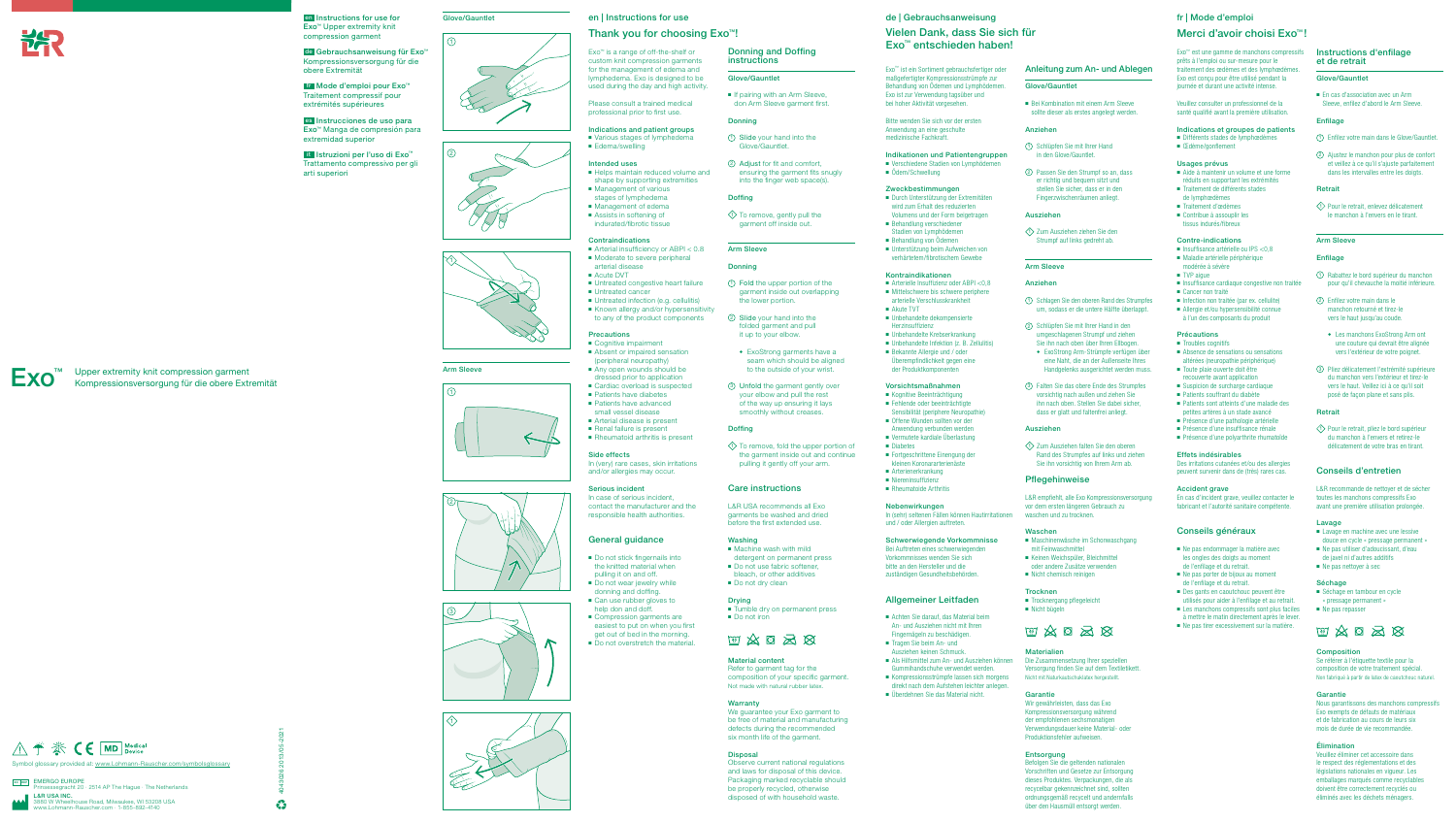

en Instructions for use for Exo™ Upper extremity knit compression garment

de Gebrauchsanweisung für Exo™ Kompressionsversorgung für die obere Extremität

fr Mode d'emploi pour Exo™ Traitement compressif pour extrémités supérieures

es Instrucciones de uso para Exo™ Manga de compresión para extremidad superior

 $E$ EMERGO EUROPE<br>Prinsessegracht 20 · 2514 AP The Hague · The Netherlands L&R USA INC. ouse Road, Milwaukee, WI 53208 USA<br>Rauscher.com · 1-855-892-4140 www.Lohmann-Rauscher.com · 1-855-892-4140



it Istruzioni per l'uso di Exo™ Trattamento compressivo per gli arti superiori

4043026 2013/05-2021















- Verschiedene Stadien von Lymphödemen ■ Ödem/Schwellung
- 











Glove/Gauntlet

#### Arm Sleeve





#### de | Gebrauchsanweisung

## Vielen Dank, dass Sie sich für Exo™ entschieden haben!

- Arterielle Insuffizienz oder ABPI <0,8 ■ Mittelschwere bis schwere periphere arterielle Verschlusskrankheit
- Akute TVT
- Unbehandelte dekompensierte Herzinsuffizienz
- Unbehandelte Krebserkrankung
- Unbehandelte Infektion (z. B. Zellulitis) ■ Bekannte Allergie und / oder Überempfindlichkeit gegen eine der Produktkomponenten

Exo™ ist ein Sortiment gebrauchsfertiger oder maßgefertigter Kompressionsstrümpfe zur Behandlung von Ödemen und Lymphödemen. Exo ist zur Verwendung tagsüber und bei hoher Aktivität vorgesehen.

Bitte wenden Sie sich vor der ersten Anwendung an eine geschulte medizinische Fachkraft.

## Indikationen und Patientengruppen

#### Zweckbestimmungen ■ Durch Unterstützung der Extremitäten

- wird zum Erhalt des reduzierten Volumens und der Form beigetragen ■ Behandlung verschiedener
- Stadien von Lymphödemen ■ Behandlung von Ödemen
- Unterstützung beim Aufweichen von

- Achten Sie darauf, das Material beim An- und Ausziehen nicht mit Ihren Fingernägeln zu beschädigen.
- Tragen Sie beim An- und Ausziehen keinen Schmuck.
- Als Hilfsmittel zum An- und Ausziehen können Gummihandschuhe verwendet werden.
- Kompressionsstrümpfe lassen sich morgens direkt nach dem Aufstehen leichter anlegen.
- Überdehnen Sie das Material nicht.

■ Bei Kombination mit einem Arm Sleeve sollte dieser als erstes angelegt werden.

# verhärtetem/fibrotischem Gewebe

#### Kontraindikationen

 $\Diamond$  Zum Ausziehen ziehen Sie den Strumpf auf links gedreht ab.

#### Vorsichtsmaßnahmen

- Kognitive Beeinträchtigung
- Fehlende oder beeinträchtigte
- Sensibilität (periphere Neuropathie) ■ Offene Wunden sollten vor der
- Anwendung verbunden werden
- Vermutete kardiale Überlastung ■ Diabetes
- Fortgeschrittene Einengung der
- kleinen Koronararterienäste ■ Arterienerkrankung
- Niereninsuffizienz
- Rheumatoide Arthritis

 $\Diamond$  Zum Ausziehen falten Sie den oberen Rand des Strumpfes auf links und ziehen Sie ihn vorsichtig von Ihrem Arm ab.

- **Trocknen**
- Trocknergang pflegeleicht ■ Nicht bügeln



#### **Materialien**

#### Nebenwirkungen

In (sehr) seltenen Fällen können Hautirritationen und / oder Allergien auftreten.

## Schwerwiegende Vorkommnisse

Bei Auftreten eines schwerwiegenden Vorkommnisses wenden Sie sich bitte an den Hersteller und die zuständigen Gesundheitsbehörden.

#### Allgemeiner Leitfaden

Exo™ est une gamme de manchons compressif prêts à l'emploi ou sur-mesure pour le traitement des œdèmes et des lymphœdèmes. Exo est conçu pour être utilisé pendant la journée et durant une activité intense.

- Aide à maintenir un volume et une forme réduits en supportant les extrémités ■ Traitement de différents stades
- de lymphœdèmes
- Traitement d'œdèmes
- Contribue à assouplir les tissus indurés/fibreux

- $\blacksquare$  Insuffisance artérielle ou IPS <0,8 ■ Maladie artérielle périphérique modérée à sévère
- TVP aigue
- Insuffisance cardiaque congestive non traitée
- Cancer non traité
- Infection non traitée (par ex. cellulite)
- Allergie et/ou hypersensibilité connue à l'un des composants du produit

#### Anleitung zum An- und Ablegen

#### Glove/Gauntlet

#### Anziehen

- Troubles cognitifs
- Absence de sensations ou sensations altérées (neuropathie périphérique)
- Toute plaie ouverte doit être recouverte avant application
- Suspicion de surcharge cardiaque
- Patients souffrant du diabète
- Patients sont atteints d'une maladie des petites artères à un stade avancé
- Présence d'une pathologie artérielle
- Présence d'une insuffisance rénale
- Présence d'une polyarthrite rhumatoïde
- 1 Schlüpfen Sie mit Ihrer Hand in den Glove/Gauntlet.
- 2 Passen Sie den Strumpf so an, dass er richtig und bequem sitzt und stellen Sie sicher, dass er in den Fingerzwischenräumen anliegt.

#### Ausziehen

#### Arm Sleeve

#### Anziehen

■ En cas d'association avec un Arm Sleeve, enfilez d'abord le Arm Sleeve.

- 1 Schlagen Sie den oberen Rand des Strumpfes um, sodass er die untere Hälfte überlappt.
- 2 Schlüpfen Sie mit Ihrer Hand in den umgeschlagenen Strumpf und ziehen Sie ihn nach oben über Ihren Ellbogen.
- ◆ ExoStrong Arm-Strümpfe verfügen über eine Naht, die an der Außenseite Ihres Handgelenks ausgerichtet werden muss.
- 3 Falten Sie das obere Ende des Strumpfes vorsichtig nach außen und ziehen Sie ihn nach oben. Stellen Sie dabei sicher, dass er glatt und faltenfrei anliegt.

 $\Diamond$  Pour le retrait, enlevez délicatement le manchon à l'envers en le tirant.

#### Ausziehen

 $\langle \hat{1} \rangle$  Pour le retrait, pliez le bord supérieur du manchon à l'envers et retirez-le délicatement de votre bras en tirant.

#### Pflegehinweise

L&R empfiehlt, alle Exo Kompressionsversorgung vor dem ersten längeren Gebrauch zu waschen und zu trocknen.

#### Waschen

■ Séchage en tambour en cycle « pressage permanent » ■ Ne pas repasser

2500 公園

- Maschinenwäsche im Schonwaschgang mit Feinwaschmittel
- Keinen Weichspüler, Bleichmittel
- oder andere Zusätze verwenden ■ Nicht chemisch reinigen

Die Zusammensetzung Ihrer speziellen Versorgung finden Sie auf dem Textiletikett. Nicht mit Naturkautschuklatex hergestellt.

#### Garantie

Wir gewährleisten, dass das Exo Kompressionsversorgung während der empfohlenen sechsmonatigen Verwendungsdauer keine Material- oder Produktionsfehler aufweisen.

#### Entsorgung

- Helps maintain reduced volume and shape by supporting extremities
- Management of various
- stages of lymphedema ■ Management of edema
- Assists in softening of
- indurated/fibrotic tissue

#### **Contraindications**

- Arterial insufficiency or ABPI < 0.8 ■ Moderate to severe peripheral arterial disease
- 
- 
- **Precautions**
- Cognitive impairment ■ Absent or impaired sensation
- (peripheral neuropathy)
- 
- Cardiac overload is suspected
- 
- 
- Arterial disease is present
- Renal failure is present
- Rheumatoid arthritis is present

Befolgen Sie die geltenden nationalen Vorschriften und Gesetze zur Entsorgung dieses Produktes. Verpackungen, die als recycelbar gekennzeichnet sind, sollten ordnungsgemäß recycelt und andernfalls über den Hausmüll entsorgt werden.

#### fr | Mode d'emploi

- Acute DVT ■ Untreated congestive heart failure ■ Untreated cancer ■ Untreated infection (e.g. cellulitis) ■ Known allergy and/or hypersensitivity
- to any of the product components

■ Any open wounds should be

# Merci d'avoir choisi Exo™ !

Veuillez consulter un professionnel de la santé qualifié avant la première utilisation.

#### Indications et groupes de patients

- 
- donning and doffing.
- Can use rubber gloves to
- 
- easiest to put on when you first
- aet out of bed in the morning.
- Différents stades de lymphœdèmes
- Œdème/gonflement

#### Usages prévus

■ If pairing with an Arm Sleeve, don Arm Sleeve garment first.

 $\Diamond$  To remove, gently pull the garment off inside out.

#### Contre-indications

◆ ExoStrong garments have a seam which should be aligned to the outside of your wrist. 3 Unfold the garment gently over your elbow and pull the rest of the way up ensuring it lays smoothly without creases.

 $\Diamond$  To remove, fold the upper portion of the garment inside out and continue pulling it gently off your arm.

#### Précautions

#### Effets indésirables Des irritations cutanées et/ou des allergies

peuvent survenir dans de (très) rares cas.

En cas d'incident grave, veuillez contacter le fabricant et l'autorité sanitaire compétente.

Conseils généraux

■ Ne pas endommager la matière avec les ongles des doigts au moment de l'enfilage et du retrait. ■ Ne pas porter de bijoux au moment de l'enfilage et du retrait. ■ Des gants en caoutchouc peuvent être utilisés pour aider à l'enfilage et au retrait. ■ Les manchons compressifs sont plus faciles à mettre le matin directement après le lever. ■ Ne pas tirer excessivement sur la matière.

Accident grave

Instructions d'enfilage

et de retrait Glove/Gauntlet

Enfilage

1 Enfilez votre main dans le Glove/Gauntlet. 2 Ajustez le manchon pour plus de confort et veillez à ce qu'il s'ajuste parfaitement dans les intervalles entre les doigts.

Retrait

Arm Sleeve Enfilage

1 Rabattez le bord supérieur du manchon pour qu'il chevauche la moitié inférieure.

2 Enfilez votre main dans le manchon retourné et tirez-le vers le haut jusqu'au coude.

◆ Les manchons ExoStrong Arm ont une couture qui devrait être alignée vers l'extérieur de votre poignet. 3 Pliez délicatement l'extrémité supérieure du manchon vers l'extérieur et tirez-le vers le haut. Veillez ici à ce qu'il soit posé de façon plane et sans plis.

Retrait

Conseils d'entretien

L&R recommande de nettoyer et de sécher toutes les manchons compressifs Exo avant une première utilisation prolongée.

■ Lavage en machine avec une lessive douce en cycle « pressage permanent » ■ Ne pas utiliser d'adoucissant, d'eau de javel ni d'autres additifs ■ Ne pas nettover à sec

Lavage

Séchage

**Composition** 

Se référer à l'étiquette textile pour la composition de votre traitement spécial. Non fabriqué à partir de latex de caoutchouc naturel.

Garantie

Nous garantissons des manchons compressifs Exo exempts de défauts de matériaux et de fabrication au cours de leurs six mois de durée de vie recommandée.

Élimination

Veuillez éliminer cet accessoire dans le respect des réglementations et des législations nationales en vigueur. Les emballages marqués comme recyclables doivent être correctement recyclés ou éliminés avec les déchets ménagers.

en | Instructions for use

## Thank you for choosing Exo™!

Exo™ is a range of off-the-shelf or custom knit compression garments for the management of edema and lymphedema. Exo is designed to be used during the day and high activity.

Please consult a trained medical professional prior to first use.

#### Indications and patient groups

■ Various stages of lymphedema ■ Edema/swelling

#### Intended uses

- dressed prior to application
- Patients have diabetes
- Patients have advanced
- small vessel disease
- 
- 

#### Side effects

In (very) rare cases, skin irritations

and/or allergies may occur.

#### Serious incident

In case of serious incident, contact the manufacturer and the

responsible health authorities.

#### General guidance

- Do not stick fingernails into the knitted material when pulling it on and off.
- Do not wear jewelry while
- 
- help don and doff.
- Compression garments are
- 
- Do not overstretch the material.

11 公日 又 又

Donning and Doffing

instructions Glove/Gauntlet

Donning

**Doffing** 

1 Slide your hand into the Glove/Gauntlet.

2 Adjust for fit and comfort, ensuring the garment fits snugly into the finger web space(s).

Arm Sleeve Donning

**Doffing** 

1 Fold the upper portion of the garment inside out overlapping

the lower portion. 2 Slide your hand into the folded garment and pull it up to your elbow.

Care instructions

L&R USA recommends all Exo garments be washed and dried before the first extended use.

■ Machine wash with mild detergent on permanent press ■ Do not use fabric softener, bleach, or other additives ■ Do not dry clean

Washing

Drying

■ Do not iron

#### Material content

Refer to garment tag for the composition of your specific garment. Not made with natural rubber latex.

■ Tumble dry on permanent press

#### **Warranty**

We guarantee your Exo garment to be free of material and manufacturing defects during the recommended six month life of the garment.

#### **Disposal**

Observe current national regulations and laws for disposal of this device. Packaging marked recyclable should be properly recycled, otherwise disposed of with household waste.

EXO<sup>™ Upper extremity knit compression garment<br>Kompressionsversorgung für die obere Extremität</sup>